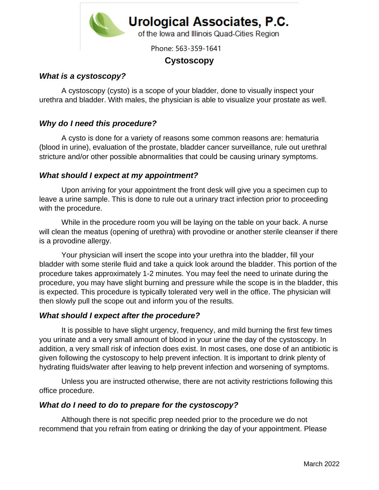

Phone: 563-359-1641

# **Cystoscopy**

#### *What is a cystoscopy?*

A cystoscopy (cysto) is a scope of your bladder, done to visually inspect your urethra and bladder. With males, the physician is able to visualize your prostate as well.

### *Why do I need this procedure?*

A cysto is done for a variety of reasons some common reasons are: hematuria (blood in urine), evaluation of the prostate, bladder cancer surveillance, rule out urethral stricture and/or other possible abnormalities that could be causing urinary symptoms.

#### *What should I expect at my appointment?*

Upon arriving for your appointment the front desk will give you a specimen cup to leave a urine sample. This is done to rule out a urinary tract infection prior to proceeding with the procedure.

While in the procedure room you will be laying on the table on your back. A nurse will clean the meatus (opening of urethra) with provodine or another sterile cleanser if there is a provodine allergy.

Your physician will insert the scope into your urethra into the bladder, fill your bladder with some sterile fluid and take a quick look around the bladder. This portion of the procedure takes approximately 1-2 minutes. You may feel the need to urinate during the procedure, you may have slight burning and pressure while the scope is in the bladder, this is expected. This procedure is typically tolerated very well in the office. The physician will then slowly pull the scope out and inform you of the results.

#### *What should I expect after the procedure?*

It is possible to have slight urgency, frequency, and mild burning the first few times you urinate and a very small amount of blood in your urine the day of the cystoscopy. In addition, a very small risk of infection does exist. In most cases, one dose of an antibiotic is given following the cystoscopy to help prevent infection. It is important to drink plenty of hydrating fluids/water after leaving to help prevent infection and worsening of symptoms.

Unless you are instructed otherwise, there are not activity restrictions following this office procedure.

#### *What do I need to do to prepare for the cystoscopy?*

Although there is not specific prep needed prior to the procedure we do not recommend that you refrain from eating or drinking the day of your appointment. Please